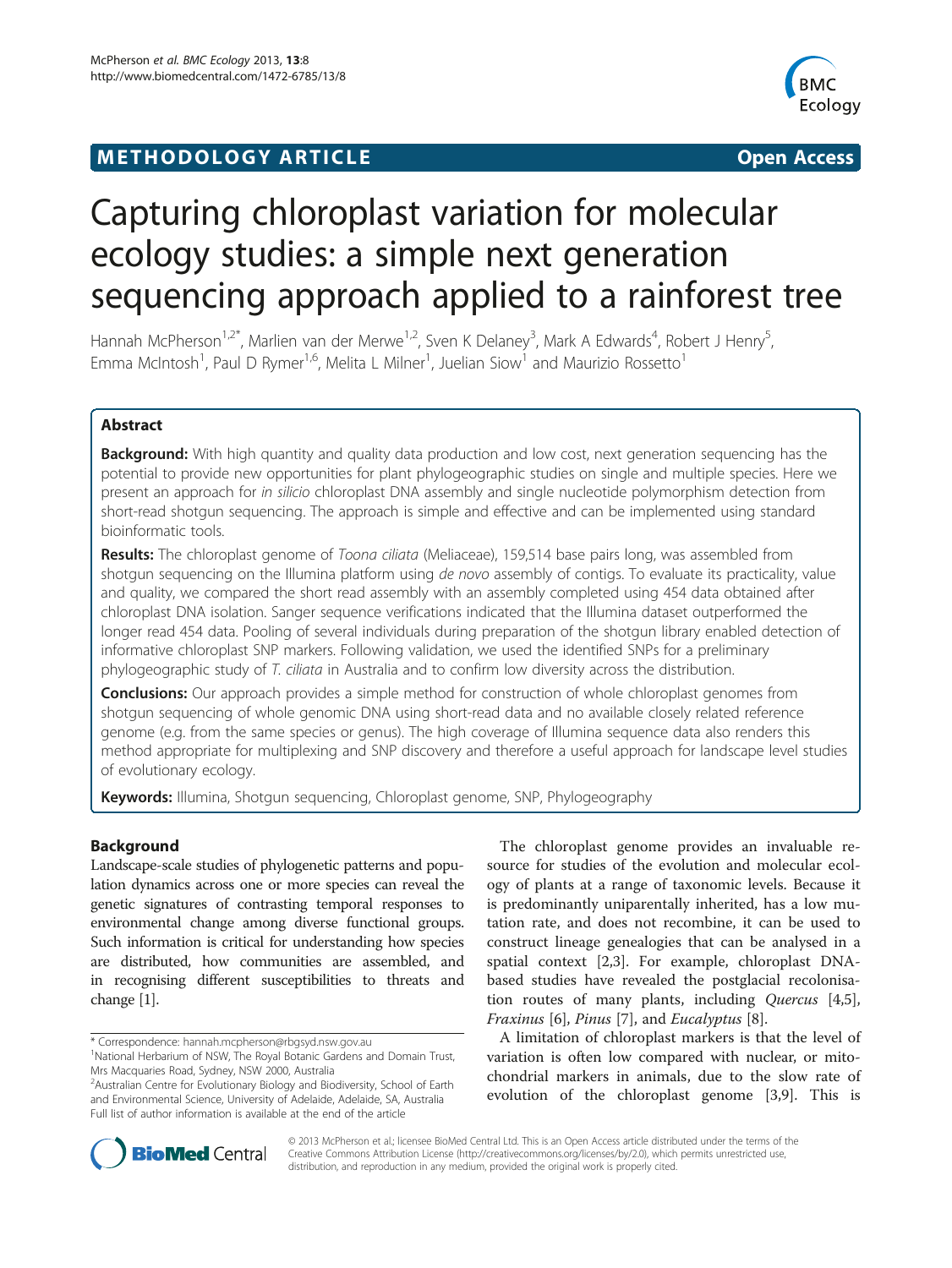# **METHODOLOGY ARTICLE Example 20 and 20 and 20 and 20 and 20 and 20 and 20 and 20 and 20 and 20 and 20 and 20 and 20 and 20 and 20 and 20 and 20 and 20 and 20 and 20 and 20 and 20 and 20 and 20 and 20 and 20 and 20 and 20**



# Capturing chloroplast variation for molecular ecology studies: a simple next generation sequencing approach applied to a rainforest tree

Hannah McPherson<sup>1,2\*</sup>, Marlien van der Merwe<sup>1,2</sup>, Sven K Delaney<sup>3</sup>, Mark A Edwards<sup>4</sup>, Robert J Henry<sup>5</sup> , Emma McIntosh<sup>1</sup>, Paul D Rymer<sup>1,6</sup>, Melita L Milner<sup>1</sup>, Juelian Siow<sup>1</sup> and Maurizio Rossetto<sup>1</sup>

# Abstract

**Background:** With high quantity and quality data production and low cost, next generation sequencing has the potential to provide new opportunities for plant phylogeographic studies on single and multiple species. Here we present an approach for in silicio chloroplast DNA assembly and single nucleotide polymorphism detection from short-read shotgun sequencing. The approach is simple and effective and can be implemented using standard bioinformatic tools.

Results: The chloroplast genome of Toona ciliata (Meliaceae), 159,514 base pairs long, was assembled from shotgun sequencing on the Illumina platform using de novo assembly of contigs. To evaluate its practicality, value and quality, we compared the short read assembly with an assembly completed using 454 data obtained after chloroplast DNA isolation. Sanger sequence verifications indicated that the Illumina dataset outperformed the longer read 454 data. Pooling of several individuals during preparation of the shotgun library enabled detection of informative chloroplast SNP markers. Following validation, we used the identified SNPs for a preliminary phylogeographic study of T. ciliata in Australia and to confirm low diversity across the distribution.

**Conclusions:** Our approach provides a simple method for construction of whole chloroplast genomes from shotgun sequencing of whole genomic DNA using short-read data and no available closely related reference genome (e.g. from the same species or genus). The high coverage of Illumina sequence data also renders this method appropriate for multiplexing and SNP discovery and therefore a useful approach for landscape level studies of evolutionary ecology.

Keywords: Illumina, Shotgun sequencing, Chloroplast genome, SNP, Phylogeography

# Background

Landscape-scale studies of phylogenetic patterns and population dynamics across one or more species can reveal the genetic signatures of contrasting temporal responses to environmental change among diverse functional groups. Such information is critical for understanding how species are distributed, how communities are assembled, and in recognising different susceptibilities to threats and change [\[1\]](#page-9-0).

The chloroplast genome provides an invaluable resource for studies of the evolution and molecular ecology of plants at a range of taxonomic levels. Because it is predominantly uniparentally inherited, has a low mutation rate, and does not recombine, it can be used to construct lineage genealogies that can be analysed in a spatial context [[2](#page-9-0),[3\]](#page-9-0). For example, chloroplast DNAbased studies have revealed the postglacial recolonisation routes of many plants, including Quercus [\[4,5](#page-9-0)], Fraxinus [[6\]](#page-9-0), Pinus [[7\]](#page-9-0), and Eucalyptus [\[8](#page-9-0)].

A limitation of chloroplast markers is that the level of variation is often low compared with nuclear, or mitochondrial markers in animals, due to the slow rate of evolution of the chloroplast genome [[3,9\]](#page-9-0). This is



© 2013 McPherson et al.; licensee BioMed Central Ltd. This is an Open Access article distributed under the terms of the Creative Commons Attribution License (<http://creativecommons.org/licenses/by/2.0>), which permits unrestricted use, distribution, and reproduction in any medium, provided the original work is properly cited.

<sup>\*</sup> Correspondence: [hannah.mcpherson@rbgsyd.nsw.gov.au](mailto:hannah.mcpherson@rbgsyd.nsw.gov.au) <sup>1</sup>

<sup>&</sup>lt;sup>1</sup>National Herbarium of NSW, The Royal Botanic Gardens and Domain Trust, Mrs Macquaries Road, Sydney, NSW 2000, Australia

<sup>&</sup>lt;sup>2</sup> Australian Centre for Evolutionary Biology and Biodiversity, School of Earth and Environmental Science, University of Adelaide, Adelaide, SA, Australia Full list of author information is available at the end of the article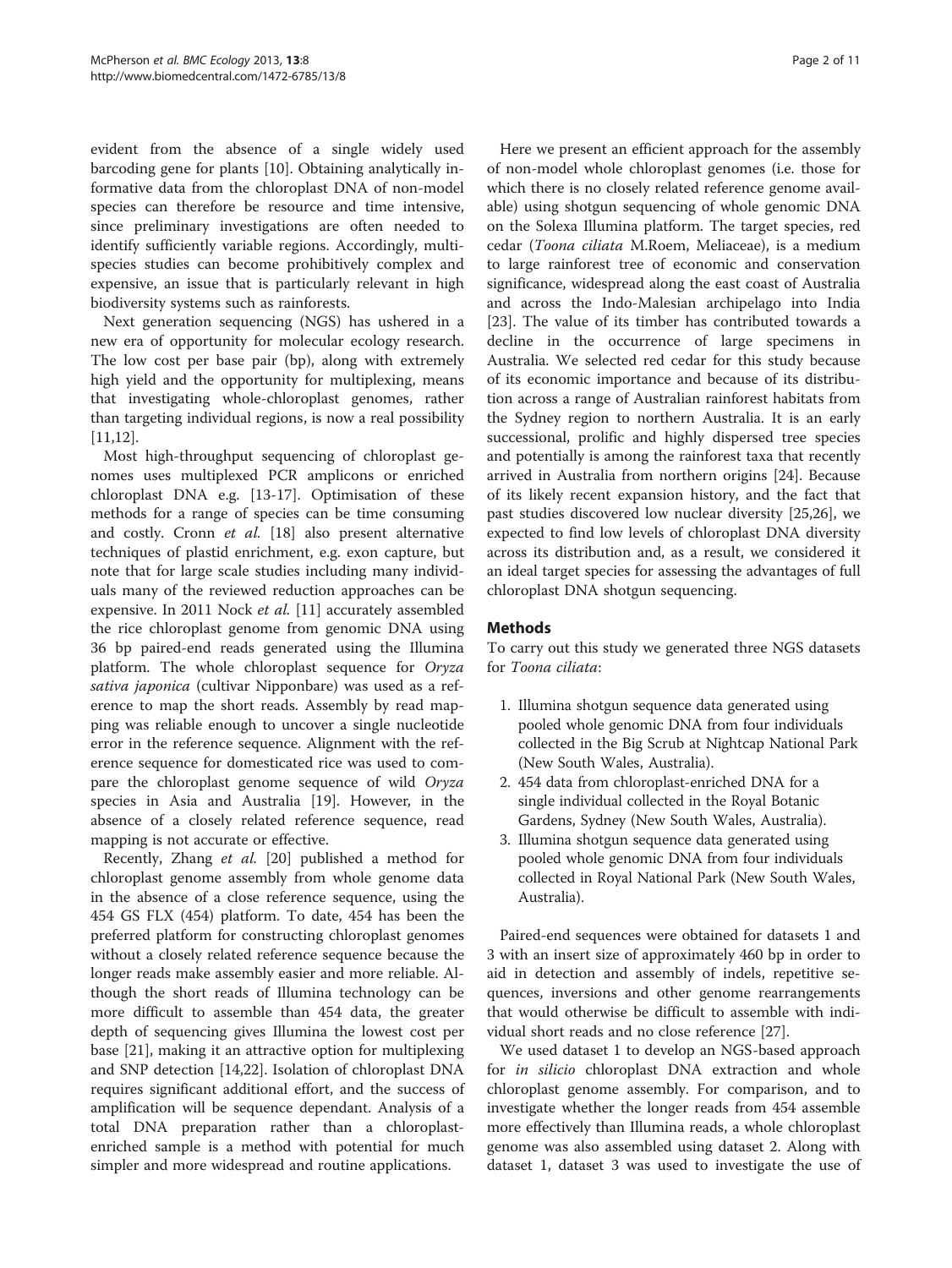evident from the absence of a single widely used barcoding gene for plants [\[10](#page-9-0)]. Obtaining analytically informative data from the chloroplast DNA of non-model species can therefore be resource and time intensive, since preliminary investigations are often needed to identify sufficiently variable regions. Accordingly, multispecies studies can become prohibitively complex and expensive, an issue that is particularly relevant in high biodiversity systems such as rainforests.

Next generation sequencing (NGS) has ushered in a new era of opportunity for molecular ecology research. The low cost per base pair (bp), along with extremely high yield and the opportunity for multiplexing, means that investigating whole-chloroplast genomes, rather than targeting individual regions, is now a real possibility [[11,12\]](#page-9-0).

Most high-throughput sequencing of chloroplast genomes uses multiplexed PCR amplicons or enriched chloroplast DNA e.g. [[13-17\]](#page-9-0). Optimisation of these methods for a range of species can be time consuming and costly. Cronn et al. [\[18](#page-9-0)] also present alternative techniques of plastid enrichment, e.g. exon capture, but note that for large scale studies including many individuals many of the reviewed reduction approaches can be expensive. In 2011 Nock et al. [\[11](#page-9-0)] accurately assembled the rice chloroplast genome from genomic DNA using 36 bp paired-end reads generated using the Illumina platform. The whole chloroplast sequence for Oryza sativa japonica (cultivar Nipponbare) was used as a reference to map the short reads. Assembly by read mapping was reliable enough to uncover a single nucleotide error in the reference sequence. Alignment with the reference sequence for domesticated rice was used to compare the chloroplast genome sequence of wild Oryza species in Asia and Australia [[19](#page-9-0)]. However, in the absence of a closely related reference sequence, read mapping is not accurate or effective.

Recently, Zhang et al. [[20](#page-9-0)] published a method for chloroplast genome assembly from whole genome data in the absence of a close reference sequence, using the 454 GS FLX (454) platform. To date, 454 has been the preferred platform for constructing chloroplast genomes without a closely related reference sequence because the longer reads make assembly easier and more reliable. Although the short reads of Illumina technology can be more difficult to assemble than 454 data, the greater depth of sequencing gives Illumina the lowest cost per base [[21\]](#page-9-0), making it an attractive option for multiplexing and SNP detection [\[14,22](#page-9-0)]. Isolation of chloroplast DNA requires significant additional effort, and the success of amplification will be sequence dependant. Analysis of a total DNA preparation rather than a chloroplastenriched sample is a method with potential for much simpler and more widespread and routine applications.

Here we present an efficient approach for the assembly of non-model whole chloroplast genomes (i.e. those for which there is no closely related reference genome available) using shotgun sequencing of whole genomic DNA on the Solexa Illumina platform. The target species, red cedar (Toona ciliata M.Roem, Meliaceae), is a medium to large rainforest tree of economic and conservation significance, widespread along the east coast of Australia and across the Indo-Malesian archipelago into India [[23\]](#page-9-0). The value of its timber has contributed towards a decline in the occurrence of large specimens in Australia. We selected red cedar for this study because of its economic importance and because of its distribution across a range of Australian rainforest habitats from the Sydney region to northern Australia. It is an early successional, prolific and highly dispersed tree species and potentially is among the rainforest taxa that recently arrived in Australia from northern origins [\[24\]](#page-9-0). Because of its likely recent expansion history, and the fact that past studies discovered low nuclear diversity [[25](#page-9-0),[26](#page-10-0)], we expected to find low levels of chloroplast DNA diversity across its distribution and, as a result, we considered it an ideal target species for assessing the advantages of full chloroplast DNA shotgun sequencing.

## Methods

To carry out this study we generated three NGS datasets for Toona ciliata:

- 1. Illumina shotgun sequence data generated using pooled whole genomic DNA from four individuals collected in the Big Scrub at Nightcap National Park (New South Wales, Australia).
- 2. 454 data from chloroplast-enriched DNA for a single individual collected in the Royal Botanic Gardens, Sydney (New South Wales, Australia).
- 3. Illumina shotgun sequence data generated using pooled whole genomic DNA from four individuals collected in Royal National Park (New South Wales, Australia).

Paired-end sequences were obtained for datasets 1 and 3 with an insert size of approximately 460 bp in order to aid in detection and assembly of indels, repetitive sequences, inversions and other genome rearrangements that would otherwise be difficult to assemble with individual short reads and no close reference [\[27\]](#page-10-0).

We used dataset 1 to develop an NGS-based approach for in silicio chloroplast DNA extraction and whole chloroplast genome assembly. For comparison, and to investigate whether the longer reads from 454 assemble more effectively than Illumina reads, a whole chloroplast genome was also assembled using dataset 2. Along with dataset 1, dataset 3 was used to investigate the use of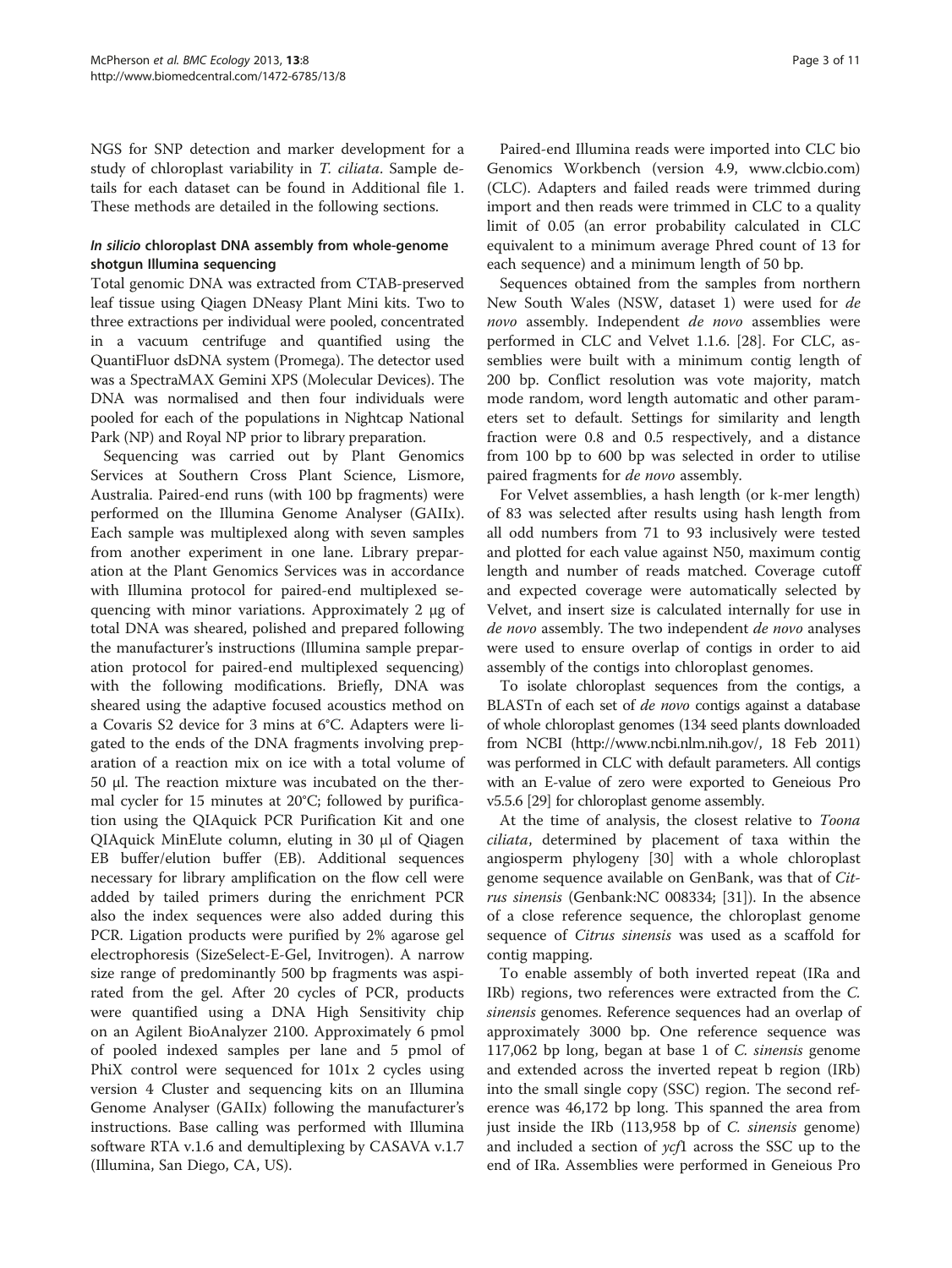NGS for SNP detection and marker development for a study of chloroplast variability in T. ciliata. Sample details for each dataset can be found in Additional file [1](#page-9-0). These methods are detailed in the following sections.

#### In silicio chloroplast DNA assembly from whole-genome shotgun Illumina sequencing

Total genomic DNA was extracted from CTAB-preserved leaf tissue using Qiagen DNeasy Plant Mini kits. Two to three extractions per individual were pooled, concentrated in a vacuum centrifuge and quantified using the QuantiFluor dsDNA system (Promega). The detector used was a SpectraMAX Gemini XPS (Molecular Devices). The DNA was normalised and then four individuals were pooled for each of the populations in Nightcap National Park (NP) and Royal NP prior to library preparation.

Sequencing was carried out by Plant Genomics Services at Southern Cross Plant Science, Lismore, Australia. Paired-end runs (with 100 bp fragments) were performed on the Illumina Genome Analyser (GAIIx). Each sample was multiplexed along with seven samples from another experiment in one lane. Library preparation at the Plant Genomics Services was in accordance with Illumina protocol for paired-end multiplexed sequencing with minor variations. Approximately 2 μg of total DNA was sheared, polished and prepared following the manufacturer's instructions (Illumina sample preparation protocol for paired-end multiplexed sequencing) with the following modifications. Briefly, DNA was sheared using the adaptive focused acoustics method on a Covaris S2 device for 3 mins at 6°C. Adapters were ligated to the ends of the DNA fragments involving preparation of a reaction mix on ice with a total volume of 50 μl. The reaction mixture was incubated on the thermal cycler for 15 minutes at 20°C; followed by purification using the QIAquick PCR Purification Kit and one QIAquick MinElute column, eluting in 30 μl of Qiagen EB buffer/elution buffer (EB). Additional sequences necessary for library amplification on the flow cell were added by tailed primers during the enrichment PCR also the index sequences were also added during this PCR. Ligation products were purified by 2% agarose gel electrophoresis (SizeSelect-E-Gel, Invitrogen). A narrow size range of predominantly 500 bp fragments was aspirated from the gel. After 20 cycles of PCR, products were quantified using a DNA High Sensitivity chip on an Agilent BioAnalyzer 2100. Approximately 6 pmol of pooled indexed samples per lane and 5 pmol of PhiX control were sequenced for 101x 2 cycles using version 4 Cluster and sequencing kits on an Illumina Genome Analyser (GAIIx) following the manufacturer's instructions. Base calling was performed with Illumina software RTA v.1.6 and demultiplexing by CASAVA v.1.7 (Illumina, San Diego, CA, US).

Paired-end Illumina reads were imported into CLC bio Genomics Workbench (version 4.9, [www.clcbio.com](http://www.clcbio.com)) (CLC). Adapters and failed reads were trimmed during import and then reads were trimmed in CLC to a quality limit of 0.05 (an error probability calculated in CLC equivalent to a minimum average Phred count of 13 for each sequence) and a minimum length of 50 bp.

Sequences obtained from the samples from northern New South Wales (NSW, dataset 1) were used for de novo assembly. Independent de novo assemblies were performed in CLC and Velvet 1.1.6. [\[28\]](#page-10-0). For CLC, assemblies were built with a minimum contig length of 200 bp. Conflict resolution was vote majority, match mode random, word length automatic and other parameters set to default. Settings for similarity and length fraction were 0.8 and 0.5 respectively, and a distance from 100 bp to 600 bp was selected in order to utilise paired fragments for *de novo* assembly.

For Velvet assemblies, a hash length (or k-mer length) of 83 was selected after results using hash length from all odd numbers from 71 to 93 inclusively were tested and plotted for each value against N50, maximum contig length and number of reads matched. Coverage cutoff and expected coverage were automatically selected by Velvet, and insert size is calculated internally for use in de novo assembly. The two independent de novo analyses were used to ensure overlap of contigs in order to aid assembly of the contigs into chloroplast genomes.

To isolate chloroplast sequences from the contigs, a BLASTn of each set of *de novo* contigs against a database of whole chloroplast genomes (134 seed plants downloaded from NCBI [\(http://www.ncbi.nlm.nih.gov/,](http://www.ncbi.nlm.nih.gov/) 18 Feb 2011) was performed in CLC with default parameters. All contigs with an E-value of zero were exported to Geneious Pro v5.5.6 [[29](#page-10-0)] for chloroplast genome assembly.

At the time of analysis, the closest relative to Toona ciliata, determined by placement of taxa within the angiosperm phylogeny [\[30\]](#page-10-0) with a whole chloroplast genome sequence available on GenBank, was that of Citrus sinensis (Genbank:NC 008334; [\[31\]](#page-10-0)). In the absence of a close reference sequence, the chloroplast genome sequence of Citrus sinensis was used as a scaffold for contig mapping.

To enable assembly of both inverted repeat (IRa and IRb) regions, two references were extracted from the C. sinensis genomes. Reference sequences had an overlap of approximately 3000 bp. One reference sequence was 117,062 bp long, began at base 1 of C. sinensis genome and extended across the inverted repeat b region (IRb) into the small single copy (SSC) region. The second reference was 46,172 bp long. This spanned the area from just inside the IRb (113,958 bp of *C. sinensis* genome) and included a section of *ycf*1 across the SSC up to the end of IRa. Assemblies were performed in Geneious Pro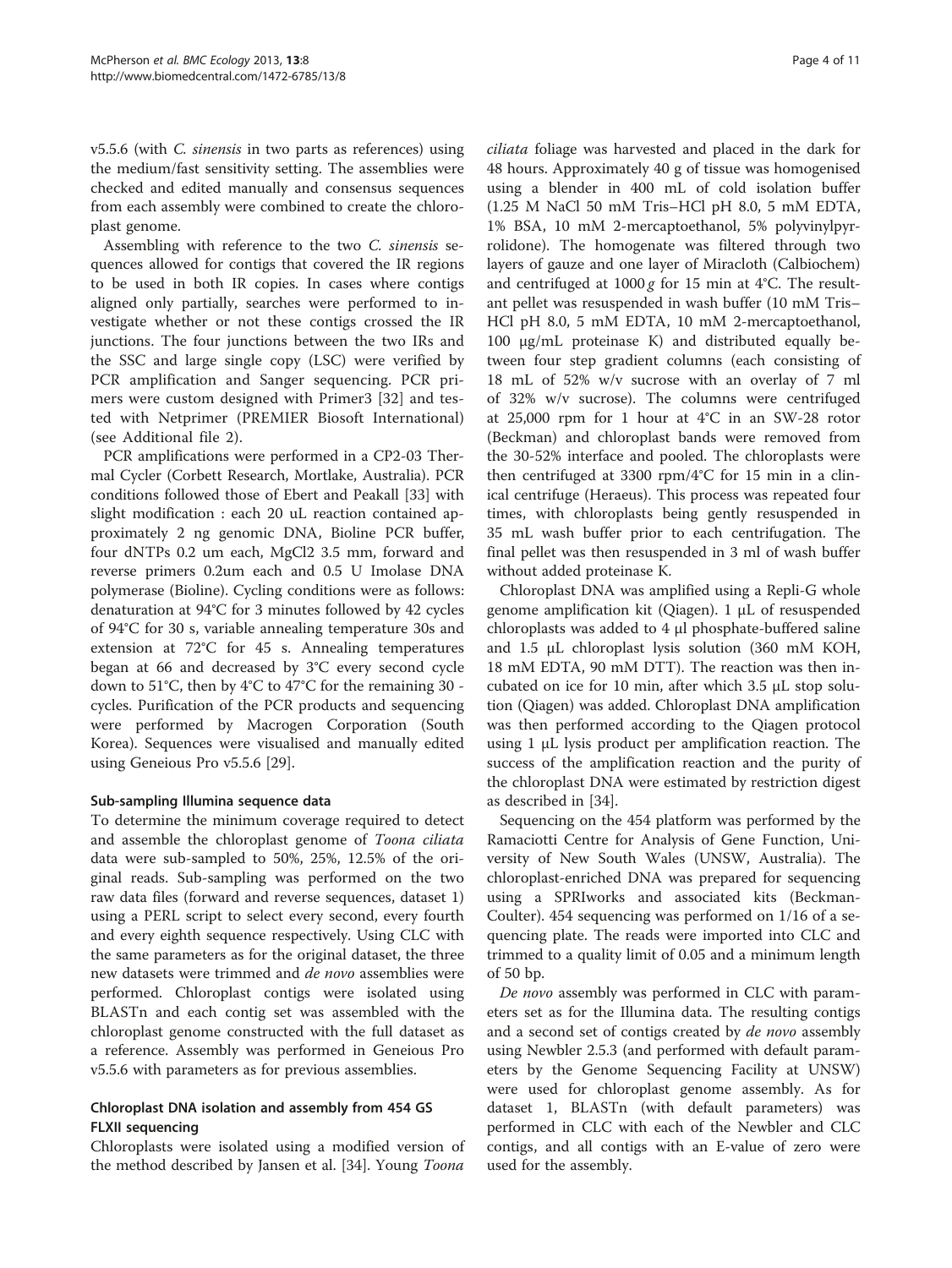v5.5.6 (with C. sinensis in two parts as references) using the medium/fast sensitivity setting. The assemblies were checked and edited manually and consensus sequences from each assembly were combined to create the chloroplast genome.

Assembling with reference to the two C. sinensis sequences allowed for contigs that covered the IR regions to be used in both IR copies. In cases where contigs aligned only partially, searches were performed to investigate whether or not these contigs crossed the IR junctions. The four junctions between the two IRs and the SSC and large single copy (LSC) were verified by PCR amplification and Sanger sequencing. PCR primers were custom designed with Primer3 [[32\]](#page-10-0) and tested with Netprimer (PREMIER Biosoft International) (see Additional file [2](#page-9-0)).

PCR amplifications were performed in a CP2-03 Thermal Cycler (Corbett Research, Mortlake, Australia). PCR conditions followed those of Ebert and Peakall [\[33](#page-10-0)] with slight modification : each 20 uL reaction contained approximately 2 ng genomic DNA, Bioline PCR buffer, four dNTPs 0.2 um each, MgCl2 3.5 mm, forward and reverse primers 0.2um each and 0.5 U Imolase DNA polymerase (Bioline). Cycling conditions were as follows: denaturation at 94°C for 3 minutes followed by 42 cycles of 94°C for 30 s, variable annealing temperature 30s and extension at 72°C for 45 s. Annealing temperatures began at 66 and decreased by 3°C every second cycle down to 51°C, then by 4°C to 47°C for the remaining 30 cycles. Purification of the PCR products and sequencing were performed by Macrogen Corporation (South Korea). Sequences were visualised and manually edited using Geneious Pro v5.5.6 [[29](#page-10-0)].

#### Sub-sampling Illumina sequence data

To determine the minimum coverage required to detect and assemble the chloroplast genome of Toona ciliata data were sub-sampled to 50%, 25%, 12.5% of the original reads. Sub-sampling was performed on the two raw data files (forward and reverse sequences, dataset 1) using a PERL script to select every second, every fourth and every eighth sequence respectively. Using CLC with the same parameters as for the original dataset, the three new datasets were trimmed and *de novo* assemblies were performed. Chloroplast contigs were isolated using BLASTn and each contig set was assembled with the chloroplast genome constructed with the full dataset as a reference. Assembly was performed in Geneious Pro v5.5.6 with parameters as for previous assemblies.

# Chloroplast DNA isolation and assembly from 454 GS FLXII sequencing

Chloroplasts were isolated using a modified version of the method described by Jansen et al. [[34\]](#page-10-0). Young Toona

ciliata foliage was harvested and placed in the dark for 48 hours. Approximately 40 g of tissue was homogenised using a blender in 400 mL of cold isolation buffer (1.25 M NaCl 50 mM Tris–HCl pH 8.0, 5 mM EDTA, 1% BSA, 10 mM 2-mercaptoethanol, 5% polyvinylpyrrolidone). The homogenate was filtered through two layers of gauze and one layer of Miracloth (Calbiochem) and centrifuged at  $1000 g$  for 15 min at 4°C. The resultant pellet was resuspended in wash buffer (10 mM Tris– HCl pH 8.0, 5 mM EDTA, 10 mM 2-mercaptoethanol, 100 μg/mL proteinase K) and distributed equally between four step gradient columns (each consisting of 18 mL of 52% w/v sucrose with an overlay of 7 ml of 32% w/v sucrose). The columns were centrifuged at 25,000 rpm for 1 hour at 4°C in an SW-28 rotor (Beckman) and chloroplast bands were removed from the 30-52% interface and pooled. The chloroplasts were then centrifuged at 3300 rpm/4°C for 15 min in a clinical centrifuge (Heraeus). This process was repeated four times, with chloroplasts being gently resuspended in 35 mL wash buffer prior to each centrifugation. The final pellet was then resuspended in 3 ml of wash buffer without added proteinase K.

Chloroplast DNA was amplified using a Repli-G whole genome amplification kit (Qiagen). 1 μL of resuspended chloroplasts was added to 4 μl phosphate-buffered saline and 1.5 μL chloroplast lysis solution (360 mM KOH, 18 mM EDTA, 90 mM DTT). The reaction was then incubated on ice for 10 min, after which 3.5 μL stop solution (Qiagen) was added. Chloroplast DNA amplification was then performed according to the Qiagen protocol using 1 μL lysis product per amplification reaction. The success of the amplification reaction and the purity of the chloroplast DNA were estimated by restriction digest as described in [[34\]](#page-10-0).

Sequencing on the 454 platform was performed by the Ramaciotti Centre for Analysis of Gene Function, University of New South Wales (UNSW, Australia). The chloroplast-enriched DNA was prepared for sequencing using a SPRIworks and associated kits (Beckman-Coulter). 454 sequencing was performed on 1/16 of a sequencing plate. The reads were imported into CLC and trimmed to a quality limit of 0.05 and a minimum length of 50 bp.

De novo assembly was performed in CLC with parameters set as for the Illumina data. The resulting contigs and a second set of contigs created by *de novo* assembly using Newbler 2.5.3 (and performed with default parameters by the Genome Sequencing Facility at UNSW) were used for chloroplast genome assembly. As for dataset 1, BLASTn (with default parameters) was performed in CLC with each of the Newbler and CLC contigs, and all contigs with an E-value of zero were used for the assembly.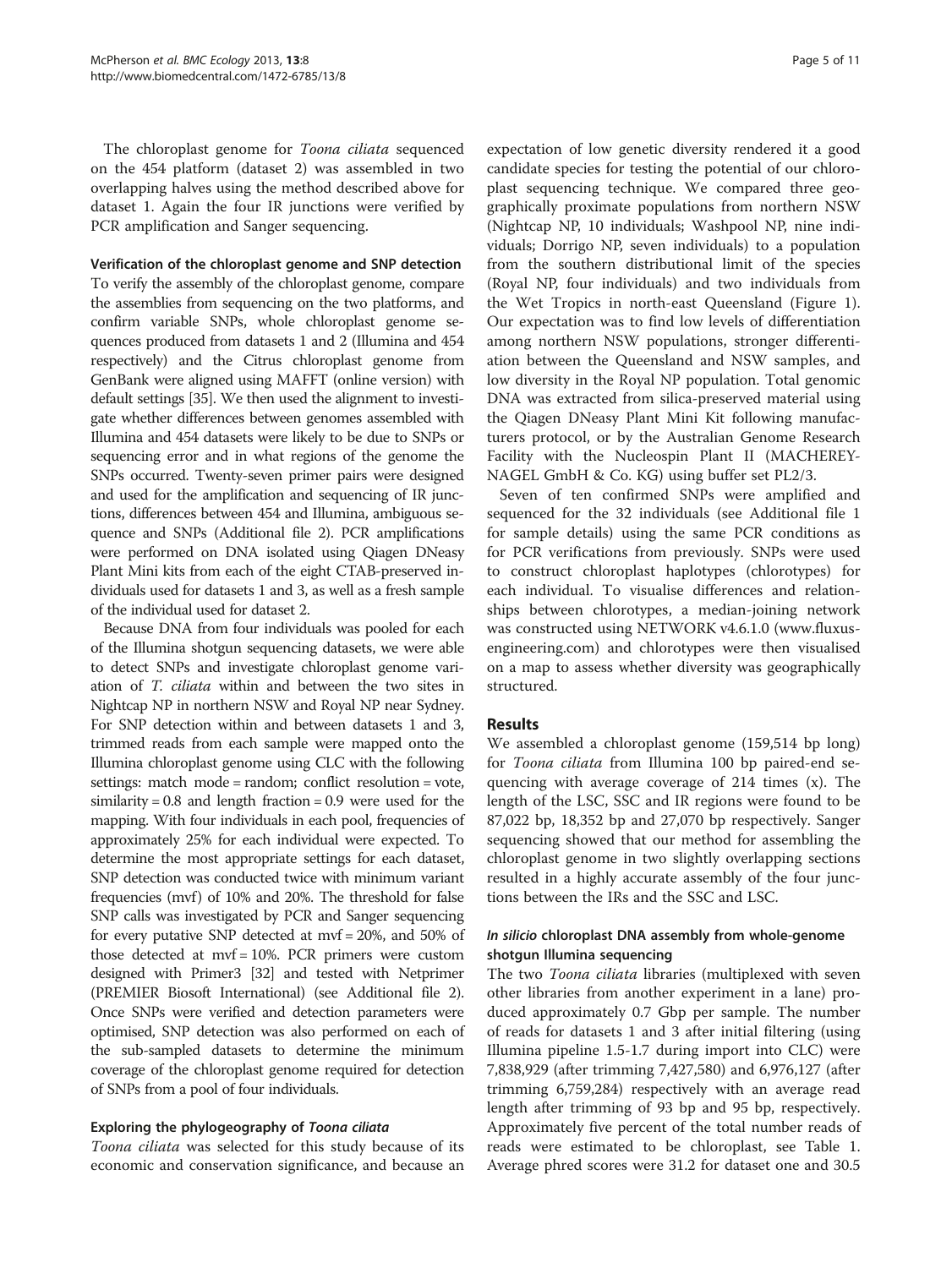The chloroplast genome for Toona ciliata sequenced on the 454 platform (dataset 2) was assembled in two overlapping halves using the method described above for dataset 1. Again the four IR junctions were verified by PCR amplification and Sanger sequencing.

#### Verification of the chloroplast genome and SNP detection

To verify the assembly of the chloroplast genome, compare the assemblies from sequencing on the two platforms, and confirm variable SNPs, whole chloroplast genome sequences produced from datasets 1 and 2 (Illumina and 454 respectively) and the Citrus chloroplast genome from GenBank were aligned using MAFFT (online version) with default settings [\[35](#page-10-0)]. We then used the alignment to investigate whether differences between genomes assembled with Illumina and 454 datasets were likely to be due to SNPs or sequencing error and in what regions of the genome the SNPs occurred. Twenty-seven primer pairs were designed and used for the amplification and sequencing of IR junctions, differences between 454 and Illumina, ambiguous sequence and SNPs (Additional file [2\)](#page-9-0). PCR amplifications were performed on DNA isolated using Qiagen DNeasy Plant Mini kits from each of the eight CTAB-preserved individuals used for datasets 1 and 3, as well as a fresh sample of the individual used for dataset 2.

Because DNA from four individuals was pooled for each of the Illumina shotgun sequencing datasets, we were able to detect SNPs and investigate chloroplast genome variation of T. ciliata within and between the two sites in Nightcap NP in northern NSW and Royal NP near Sydney. For SNP detection within and between datasets 1 and 3, trimmed reads from each sample were mapped onto the Illumina chloroplast genome using CLC with the following settings: match mode = random; conflict resolution = vote, similarity =  $0.8$  and length fraction =  $0.9$  were used for the mapping. With four individuals in each pool, frequencies of approximately 25% for each individual were expected. To determine the most appropriate settings for each dataset, SNP detection was conducted twice with minimum variant frequencies (mvf) of 10% and 20%. The threshold for false SNP calls was investigated by PCR and Sanger sequencing for every putative SNP detected at mvf = 20%, and 50% of those detected at  $mV = 10\%$ . PCR primers were custom designed with Primer3 [[32](#page-10-0)] and tested with Netprimer (PREMIER Biosoft International) (see Additional file [2](#page-9-0)). Once SNPs were verified and detection parameters were optimised, SNP detection was also performed on each of the sub-sampled datasets to determine the minimum coverage of the chloroplast genome required for detection of SNPs from a pool of four individuals.

#### Exploring the phylogeography of Toona ciliata

Toona ciliata was selected for this study because of its economic and conservation significance, and because an

expectation of low genetic diversity rendered it a good candidate species for testing the potential of our chloroplast sequencing technique. We compared three geographically proximate populations from northern NSW (Nightcap NP, 10 individuals; Washpool NP, nine individuals; Dorrigo NP, seven individuals) to a population from the southern distributional limit of the species (Royal NP, four individuals) and two individuals from the Wet Tropics in north-east Queensland (Figure [1](#page-5-0)). Our expectation was to find low levels of differentiation among northern NSW populations, stronger differentiation between the Queensland and NSW samples, and low diversity in the Royal NP population. Total genomic DNA was extracted from silica-preserved material using the Qiagen DNeasy Plant Mini Kit following manufacturers protocol, or by the Australian Genome Research Facility with the Nucleospin Plant II (MACHEREY-NAGEL GmbH & Co. KG) using buffer set PL2/3.

Seven of ten confirmed SNPs were amplified and sequenced for the 32 individuals (see Additional file [1](#page-9-0) for sample details) using the same PCR conditions as for PCR verifications from previously. SNPs were used to construct chloroplast haplotypes (chlorotypes) for each individual. To visualise differences and relationships between chlorotypes, a median-joining network was constructed using NETWORK v4.6.1.0 ([www.fluxus](http://www.fluxus-engineering.com)[engineering.com](http://www.fluxus-engineering.com)) and chlorotypes were then visualised on a map to assess whether diversity was geographically structured.

#### **Results**

We assembled a chloroplast genome (159,514 bp long) for Toona ciliata from Illumina 100 bp paired-end sequencing with average coverage of 214 times (x). The length of the LSC, SSC and IR regions were found to be 87,022 bp, 18,352 bp and 27,070 bp respectively. Sanger sequencing showed that our method for assembling the chloroplast genome in two slightly overlapping sections resulted in a highly accurate assembly of the four junctions between the IRs and the SSC and LSC.

#### In silicio chloroplast DNA assembly from whole-genome shotgun Illumina sequencing

The two *Toona ciliata* libraries (multiplexed with seven other libraries from another experiment in a lane) produced approximately 0.7 Gbp per sample. The number of reads for datasets 1 and 3 after initial filtering (using Illumina pipeline 1.5-1.7 during import into CLC) were 7,838,929 (after trimming 7,427,580) and 6,976,127 (after trimming 6,759,284) respectively with an average read length after trimming of 93 bp and 95 bp, respectively. Approximately five percent of the total number reads of reads were estimated to be chloroplast, see Table [1](#page-6-0). Average phred scores were 31.2 for dataset one and 30.5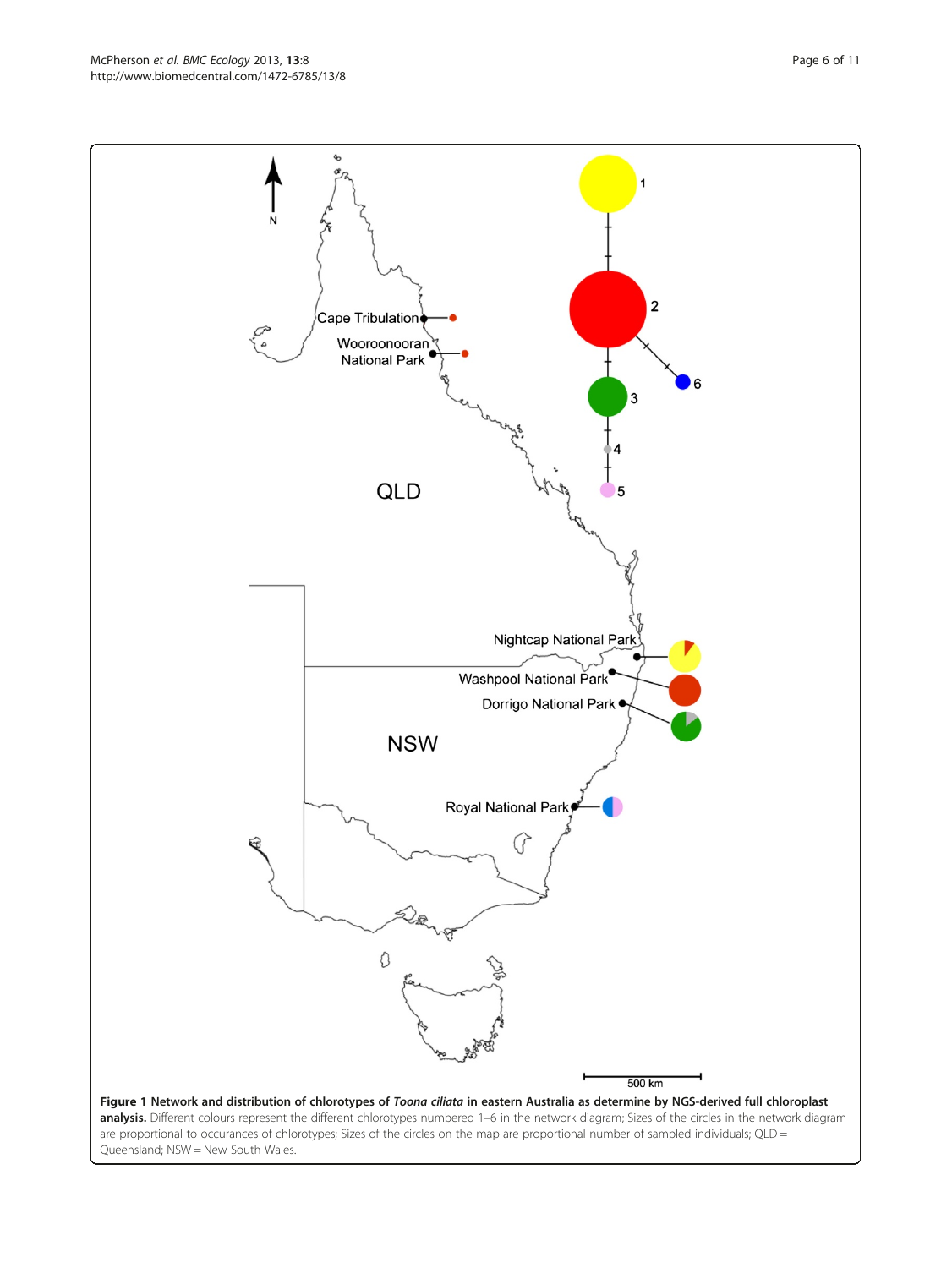<span id="page-5-0"></span>McPherson et al. BMC Ecology 2013, 13:8 et al. 800 Page 6 of 11 http://www.biomedcentral.com/1472-6785/13/8



are proportional to occurances of chlorotypes; Sizes of the circles on the map are proportional number of sampled individuals; QLD = Queensland; NSW = New South Wales.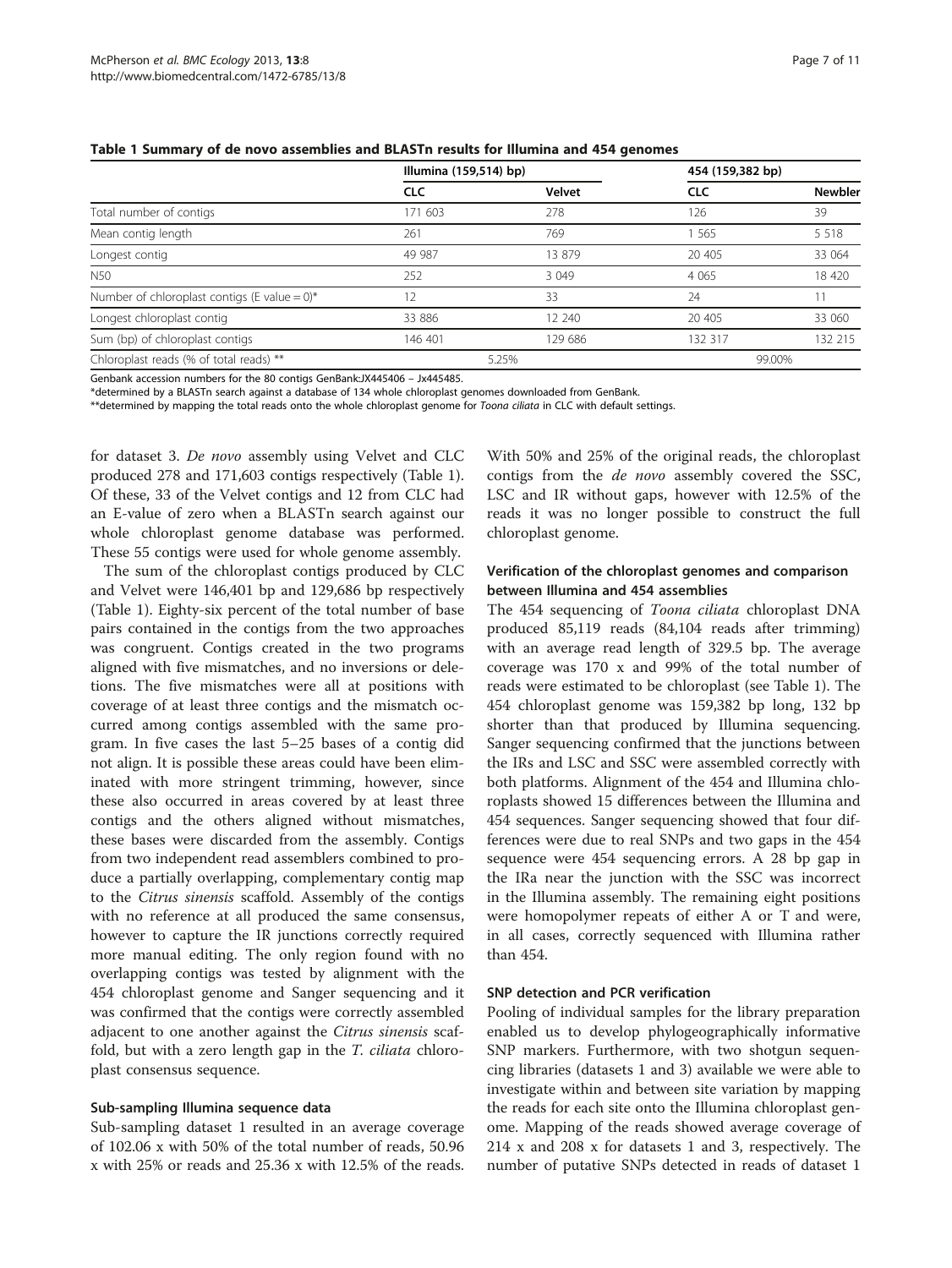|                                                 | Illumina (159,514) bp) |               | 454 (159,382 bp) |                |
|-------------------------------------------------|------------------------|---------------|------------------|----------------|
|                                                 | <b>CLC</b>             | <b>Velvet</b> | <b>CLC</b>       | <b>Newbler</b> |
| Total number of contigs                         | 171 603                | 278           | 126              | 39             |
| Mean contig length                              | 261                    | 769           | 1 5 6 5          | 5 5 1 8        |
| Longest contig                                  | 49 987                 | 13 879        | 20 405           | 33 064         |
| N50                                             | 252                    | 3 0 4 9       | 4 0 6 5          | 18 4 20        |
| Number of chloroplast contigs (E value = $0$ )* | 12                     | 33            | 24               | $\overline{1}$ |
| Longest chloroplast contig                      | 33 886                 | 12 240        | 20 405           | 33 060         |
| Sum (bp) of chloroplast contigs                 | 146 401                | 129 686       | 132 317          | 132 215        |
| Chloroplast reads (% of total reads) **         | 5.25%                  |               | 99.00%           |                |

<span id="page-6-0"></span>Table 1 Summary of de novo assemblies and BLASTn results for Illumina and 454 genomes

Genbank accession numbers for the 80 contigs GenBank:JX445406 – Jx445485.

\*determined by a BLASTn search against a database of 134 whole chloroplast genomes downloaded from GenBank.

\*\*determined by mapping the total reads onto the whole chloroplast genome for Toona ciliata in CLC with default settings.

for dataset 3. De novo assembly using Velvet and CLC produced 278 and 171,603 contigs respectively (Table 1). Of these, 33 of the Velvet contigs and 12 from CLC had an E-value of zero when a BLASTn search against our whole chloroplast genome database was performed. These 55 contigs were used for whole genome assembly.

The sum of the chloroplast contigs produced by CLC and Velvet were 146,401 bp and 129,686 bp respectively (Table 1). Eighty-six percent of the total number of base pairs contained in the contigs from the two approaches was congruent. Contigs created in the two programs aligned with five mismatches, and no inversions or deletions. The five mismatches were all at positions with coverage of at least three contigs and the mismatch occurred among contigs assembled with the same program. In five cases the last 5–25 bases of a contig did not align. It is possible these areas could have been eliminated with more stringent trimming, however, since these also occurred in areas covered by at least three contigs and the others aligned without mismatches, these bases were discarded from the assembly. Contigs from two independent read assemblers combined to produce a partially overlapping, complementary contig map to the Citrus sinensis scaffold. Assembly of the contigs with no reference at all produced the same consensus, however to capture the IR junctions correctly required more manual editing. The only region found with no overlapping contigs was tested by alignment with the 454 chloroplast genome and Sanger sequencing and it was confirmed that the contigs were correctly assembled adjacent to one another against the Citrus sinensis scaffold, but with a zero length gap in the *T. ciliata* chloroplast consensus sequence.

#### Sub-sampling Illumina sequence data

Sub-sampling dataset 1 resulted in an average coverage of 102.06 x with 50% of the total number of reads, 50.96 x with 25% or reads and 25.36 x with 12.5% of the reads.

With 50% and 25% of the original reads, the chloroplast contigs from the de novo assembly covered the SSC, LSC and IR without gaps, however with 12.5% of the reads it was no longer possible to construct the full chloroplast genome.

#### Verification of the chloroplast genomes and comparison between Illumina and 454 assemblies

The 454 sequencing of Toona ciliata chloroplast DNA produced 85,119 reads (84,104 reads after trimming) with an average read length of 329.5 bp. The average coverage was 170 x and 99% of the total number of reads were estimated to be chloroplast (see Table 1). The 454 chloroplast genome was 159,382 bp long, 132 bp shorter than that produced by Illumina sequencing. Sanger sequencing confirmed that the junctions between the IRs and LSC and SSC were assembled correctly with both platforms. Alignment of the 454 and Illumina chloroplasts showed 15 differences between the Illumina and 454 sequences. Sanger sequencing showed that four differences were due to real SNPs and two gaps in the 454 sequence were 454 sequencing errors. A 28 bp gap in the IRa near the junction with the SSC was incorrect in the Illumina assembly. The remaining eight positions were homopolymer repeats of either A or T and were, in all cases, correctly sequenced with Illumina rather than 454.

#### SNP detection and PCR verification

Pooling of individual samples for the library preparation enabled us to develop phylogeographically informative SNP markers. Furthermore, with two shotgun sequencing libraries (datasets 1 and 3) available we were able to investigate within and between site variation by mapping the reads for each site onto the Illumina chloroplast genome. Mapping of the reads showed average coverage of 214 x and 208 x for datasets 1 and 3, respectively. The number of putative SNPs detected in reads of dataset 1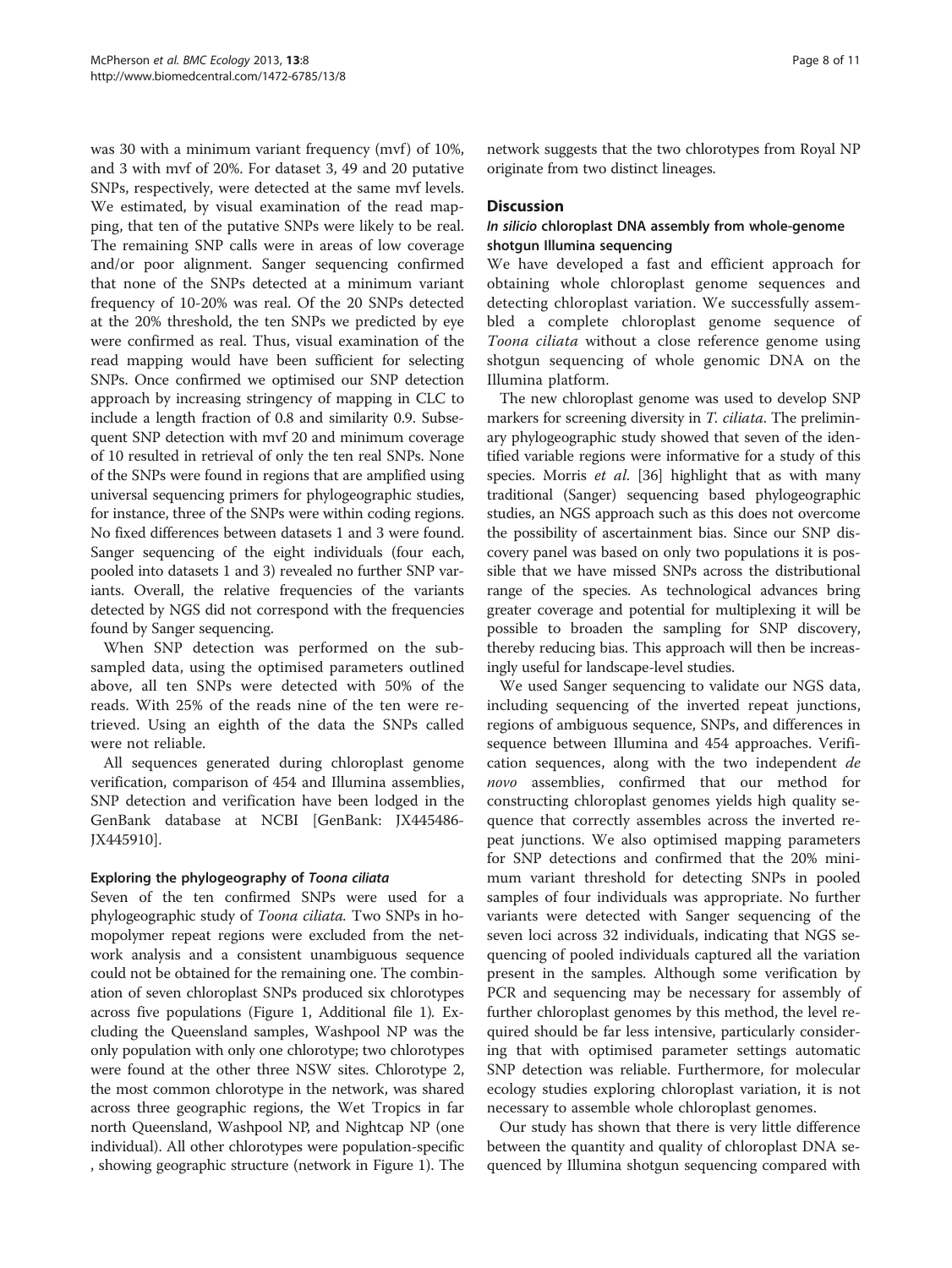was 30 with a minimum variant frequency (mvf) of  $10\%$ , and 3 with mvf of 20%. For dataset 3, 49 and 20 putative SNPs, respectively, were detected at the same mvf levels. We estimated, by visual examination of the read mapping, that ten of the putative SNPs were likely to be real. The remaining SNP calls were in areas of low coverage and/or poor alignment. Sanger sequencing confirmed that none of the SNPs detected at a minimum variant frequency of 10-20% was real. Of the 20 SNPs detected at the 20% threshold, the ten SNPs we predicted by eye were confirmed as real. Thus, visual examination of the read mapping would have been sufficient for selecting SNPs. Once confirmed we optimised our SNP detection approach by increasing stringency of mapping in CLC to include a length fraction of 0.8 and similarity 0.9. Subsequent SNP detection with mvf 20 and minimum coverage of 10 resulted in retrieval of only the ten real SNPs. None of the SNPs were found in regions that are amplified using universal sequencing primers for phylogeographic studies, for instance, three of the SNPs were within coding regions. No fixed differences between datasets 1 and 3 were found. Sanger sequencing of the eight individuals (four each, pooled into datasets 1 and 3) revealed no further SNP variants. Overall, the relative frequencies of the variants detected by NGS did not correspond with the frequencies found by Sanger sequencing.

When SNP detection was performed on the subsampled data, using the optimised parameters outlined above, all ten SNPs were detected with 50% of the reads. With 25% of the reads nine of the ten were retrieved. Using an eighth of the data the SNPs called were not reliable.

All sequences generated during chloroplast genome verification, comparison of 454 and Illumina assemblies, SNP detection and verification have been lodged in the GenBank database at NCBI [GenBank: JX445486- JX445910].

#### Exploring the phylogeography of Toona ciliata

Seven of the ten confirmed SNPs were used for a phylogeographic study of Toona ciliata. Two SNPs in homopolymer repeat regions were excluded from the network analysis and a consistent unambiguous sequence could not be obtained for the remaining one. The combination of seven chloroplast SNPs produced six chlorotypes across five populations (Figure [1](#page-5-0), Additional file [1](#page-9-0)). Excluding the Queensland samples, Washpool NP was the only population with only one chlorotype; two chlorotypes were found at the other three NSW sites. Chlorotype 2, the most common chlorotype in the network, was shared across three geographic regions, the Wet Tropics in far north Queensland, Washpool NP, and Nightcap NP (one individual). All other chlorotypes were population-specific , showing geographic structure (network in Figure [1](#page-5-0)). The network suggests that the two chlorotypes from Royal NP originate from two distinct lineages.

#### **Discussion**

## In silicio chloroplast DNA assembly from whole-genome shotgun Illumina sequencing

We have developed a fast and efficient approach for obtaining whole chloroplast genome sequences and detecting chloroplast variation. We successfully assembled a complete chloroplast genome sequence of Toona ciliata without a close reference genome using shotgun sequencing of whole genomic DNA on the Illumina platform.

The new chloroplast genome was used to develop SNP markers for screening diversity in *T. ciliata*. The preliminary phylogeographic study showed that seven of the identified variable regions were informative for a study of this species. Morris et al. [\[36\]](#page-10-0) highlight that as with many traditional (Sanger) sequencing based phylogeographic studies, an NGS approach such as this does not overcome the possibility of ascertainment bias. Since our SNP discovery panel was based on only two populations it is possible that we have missed SNPs across the distributional range of the species. As technological advances bring greater coverage and potential for multiplexing it will be possible to broaden the sampling for SNP discovery, thereby reducing bias. This approach will then be increasingly useful for landscape-level studies.

We used Sanger sequencing to validate our NGS data, including sequencing of the inverted repeat junctions, regions of ambiguous sequence, SNPs, and differences in sequence between Illumina and 454 approaches. Verification sequences, along with the two independent de novo assemblies, confirmed that our method for constructing chloroplast genomes yields high quality sequence that correctly assembles across the inverted repeat junctions. We also optimised mapping parameters for SNP detections and confirmed that the 20% minimum variant threshold for detecting SNPs in pooled samples of four individuals was appropriate. No further variants were detected with Sanger sequencing of the seven loci across 32 individuals, indicating that NGS sequencing of pooled individuals captured all the variation present in the samples. Although some verification by PCR and sequencing may be necessary for assembly of further chloroplast genomes by this method, the level required should be far less intensive, particularly considering that with optimised parameter settings automatic SNP detection was reliable. Furthermore, for molecular ecology studies exploring chloroplast variation, it is not necessary to assemble whole chloroplast genomes.

Our study has shown that there is very little difference between the quantity and quality of chloroplast DNA sequenced by Illumina shotgun sequencing compared with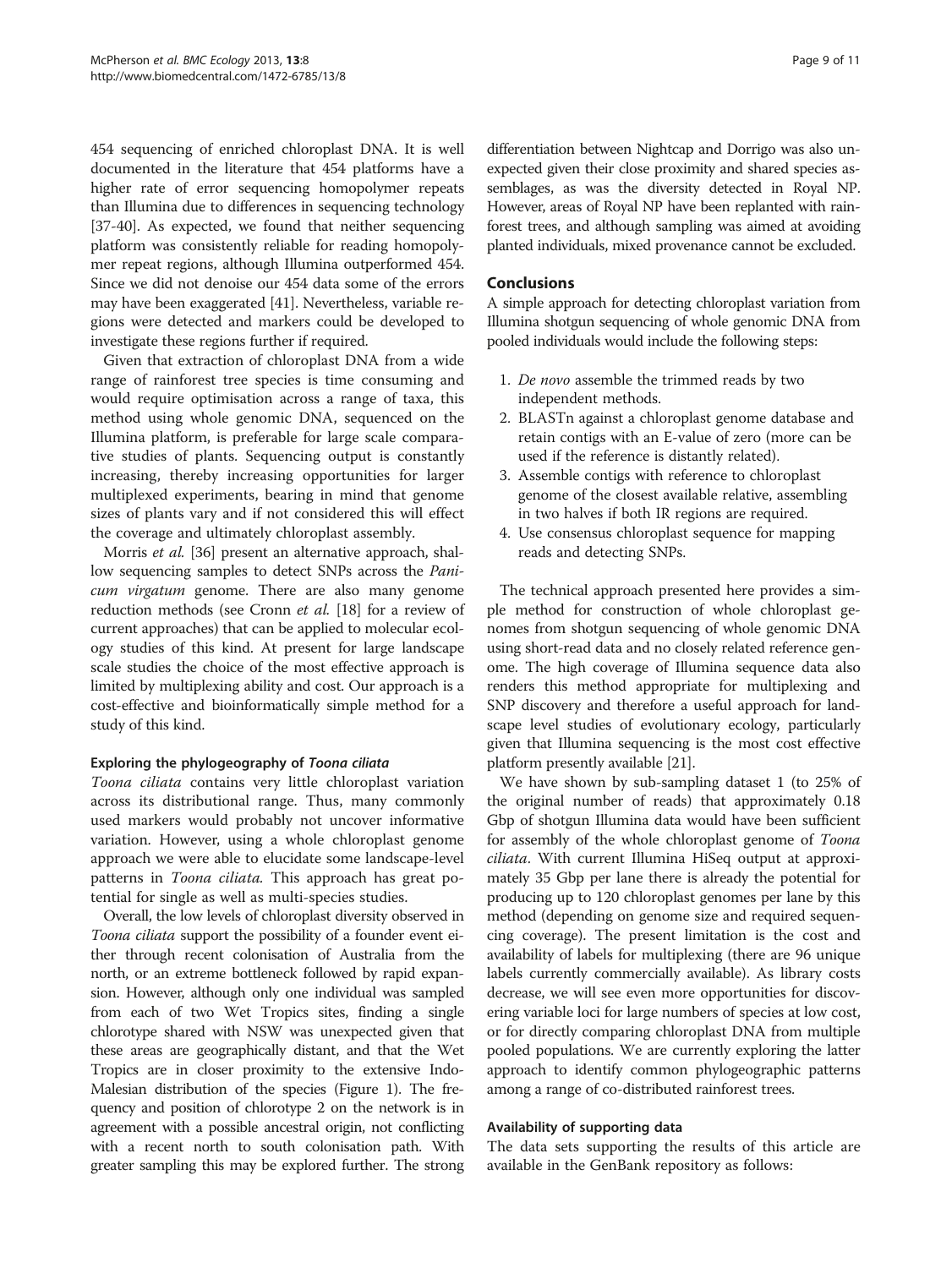454 sequencing of enriched chloroplast DNA. It is well documented in the literature that 454 platforms have a higher rate of error sequencing homopolymer repeats than Illumina due to differences in sequencing technology [[37](#page-10-0)-[40\]](#page-10-0). As expected, we found that neither sequencing platform was consistently reliable for reading homopolymer repeat regions, although Illumina outperformed 454. Since we did not denoise our 454 data some of the errors may have been exaggerated [\[41\]](#page-10-0). Nevertheless, variable regions were detected and markers could be developed to investigate these regions further if required.

Given that extraction of chloroplast DNA from a wide range of rainforest tree species is time consuming and would require optimisation across a range of taxa, this method using whole genomic DNA, sequenced on the Illumina platform, is preferable for large scale comparative studies of plants. Sequencing output is constantly increasing, thereby increasing opportunities for larger multiplexed experiments, bearing in mind that genome sizes of plants vary and if not considered this will effect the coverage and ultimately chloroplast assembly.

Morris *et al.* [\[36\]](#page-10-0) present an alternative approach, shallow sequencing samples to detect SNPs across the Panicum virgatum genome. There are also many genome reduction methods (see Cronn et al. [\[18](#page-9-0)] for a review of current approaches) that can be applied to molecular ecology studies of this kind. At present for large landscape scale studies the choice of the most effective approach is limited by multiplexing ability and cost. Our approach is a cost-effective and bioinformatically simple method for a study of this kind.

#### Exploring the phylogeography of Toona ciliata

Toona ciliata contains very little chloroplast variation across its distributional range. Thus, many commonly used markers would probably not uncover informative variation. However, using a whole chloroplast genome approach we were able to elucidate some landscape-level patterns in Toona ciliata. This approach has great potential for single as well as multi-species studies.

Overall, the low levels of chloroplast diversity observed in Toona ciliata support the possibility of a founder event either through recent colonisation of Australia from the north, or an extreme bottleneck followed by rapid expansion. However, although only one individual was sampled from each of two Wet Tropics sites, finding a single chlorotype shared with NSW was unexpected given that these areas are geographically distant, and that the Wet Tropics are in closer proximity to the extensive Indo-Malesian distribution of the species (Figure [1](#page-5-0)). The frequency and position of chlorotype 2 on the network is in agreement with a possible ancestral origin, not conflicting with a recent north to south colonisation path. With greater sampling this may be explored further. The strong differentiation between Nightcap and Dorrigo was also unexpected given their close proximity and shared species assemblages, as was the diversity detected in Royal NP. However, areas of Royal NP have been replanted with rainforest trees, and although sampling was aimed at avoiding planted individuals, mixed provenance cannot be excluded.

#### Conclusions

A simple approach for detecting chloroplast variation from Illumina shotgun sequencing of whole genomic DNA from pooled individuals would include the following steps:

- 1. De novo assemble the trimmed reads by two independent methods.
- 2. BLASTn against a chloroplast genome database and retain contigs with an E-value of zero (more can be used if the reference is distantly related).
- 3. Assemble contigs with reference to chloroplast genome of the closest available relative, assembling in two halves if both IR regions are required.
- 4. Use consensus chloroplast sequence for mapping reads and detecting SNPs.

The technical approach presented here provides a simple method for construction of whole chloroplast genomes from shotgun sequencing of whole genomic DNA using short-read data and no closely related reference genome. The high coverage of Illumina sequence data also renders this method appropriate for multiplexing and SNP discovery and therefore a useful approach for landscape level studies of evolutionary ecology, particularly given that Illumina sequencing is the most cost effective platform presently available [\[21](#page-9-0)].

We have shown by sub-sampling dataset 1 (to 25% of the original number of reads) that approximately 0.18 Gbp of shotgun Illumina data would have been sufficient for assembly of the whole chloroplast genome of *Toona* ciliata. With current Illumina HiSeq output at approximately 35 Gbp per lane there is already the potential for producing up to 120 chloroplast genomes per lane by this method (depending on genome size and required sequencing coverage). The present limitation is the cost and availability of labels for multiplexing (there are 96 unique labels currently commercially available). As library costs decrease, we will see even more opportunities for discovering variable loci for large numbers of species at low cost, or for directly comparing chloroplast DNA from multiple pooled populations. We are currently exploring the latter approach to identify common phylogeographic patterns among a range of co-distributed rainforest trees.

#### Availability of supporting data

The data sets supporting the results of this article are available in the GenBank repository as follows: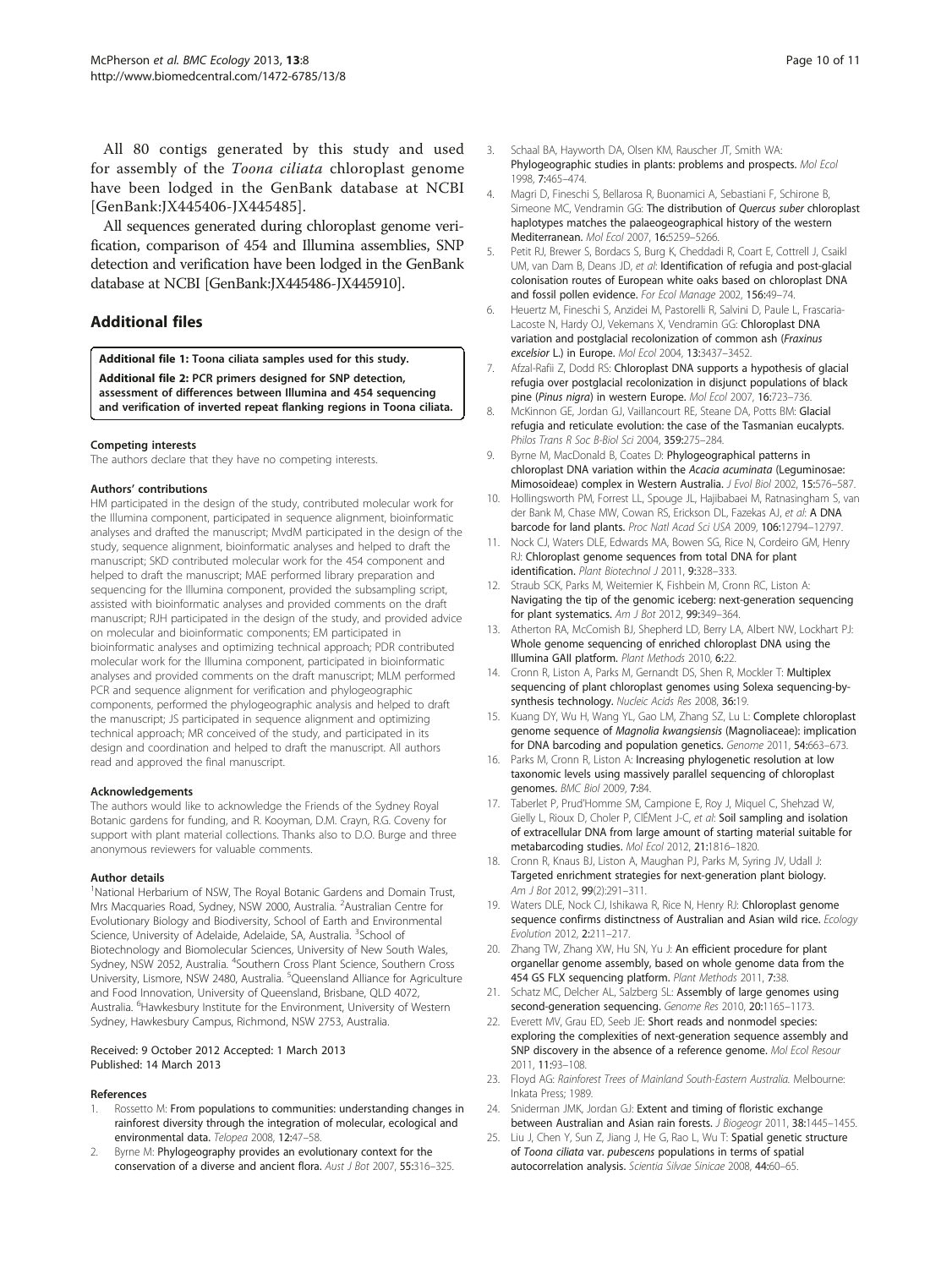<span id="page-9-0"></span>All 80 contigs generated by this study and used for assembly of the Toona ciliata chloroplast genome have been lodged in the GenBank database at NCBI [GenBank:JX445406-JX445485].

All sequences generated during chloroplast genome verification, comparison of 454 and Illumina assemblies, SNP detection and verification have been lodged in the GenBank database at NCBI [GenBank:JX445486-JX445910].

# Additional files

[Additional file 1:](http://www.biomedcentral.com/content/supplementary/1472-6785-13-8-S1.xls) Toona ciliata samples used for this study. [Additional file 2:](http://www.biomedcentral.com/content/supplementary/1472-6785-13-8-S2.xls) PCR primers designed for SNP detection, assessment of differences between Illumina and 454 sequencing and verification of inverted repeat flanking regions in Toona ciliata.

#### Competing interests

The authors declare that they have no competing interests.

#### Authors' contributions

HM participated in the design of the study, contributed molecular work for the Illumina component, participated in sequence alignment, bioinformatic analyses and drafted the manuscript; MvdM participated in the design of the study, sequence alignment, bioinformatic analyses and helped to draft the manuscript; SKD contributed molecular work for the 454 component and helped to draft the manuscript; MAE performed library preparation and sequencing for the Illumina component, provided the subsampling script, assisted with bioinformatic analyses and provided comments on the draft manuscript; RJH participated in the design of the study, and provided advice on molecular and bioinformatic components; EM participated in bioinformatic analyses and optimizing technical approach; PDR contributed molecular work for the Illumina component, participated in bioinformatic analyses and provided comments on the draft manuscript; MLM performed PCR and sequence alignment for verification and phylogeographic components, performed the phylogeographic analysis and helped to draft the manuscript; JS participated in sequence alignment and optimizing technical approach; MR conceived of the study, and participated in its design and coordination and helped to draft the manuscript. All authors read and approved the final manuscript.

#### Acknowledgements

The authors would like to acknowledge the Friends of the Sydney Royal Botanic gardens for funding, and R. Kooyman, D.M. Crayn, R.G. Coveny for support with plant material collections. Thanks also to D.O. Burge and three anonymous reviewers for valuable comments.

#### Author details

<sup>1</sup>National Herbarium of NSW, The Royal Botanic Gardens and Domain Trust, Mrs Macquaries Road, Sydney, NSW 2000, Australia. <sup>2</sup>Australian Centre for Evolutionary Biology and Biodiversity, School of Earth and Environmental Science, University of Adelaide, Adelaide, SA, Australia. <sup>3</sup>School of Biotechnology and Biomolecular Sciences, University of New South Wales, Sydney, NSW 2052, Australia. <sup>4</sup>Southern Cross Plant Science, Southern Cross University, Lismore, NSW 2480, Australia. <sup>5</sup>Queensland Alliance for Agriculture and Food Innovation, University of Queensland, Brisbane, QLD 4072, Australia. <sup>6</sup>Hawkesbury Institute for the Environment, University of Western Sydney, Hawkesbury Campus, Richmond, NSW 2753, Australia.

#### Received: 9 October 2012 Accepted: 1 March 2013 Published: 14 March 2013

#### References

- 1. Rossetto M: From populations to communities: understanding changes in rainforest diversity through the integration of molecular, ecological and environmental data. Telopea 2008, 12:47–58.
- 2. Byrne M: Phylogeography provides an evolutionary context for the conservation of a diverse and ancient flora. Aust J Bot 2007, 55:316–325.
- 3. Schaal BA, Hayworth DA, Olsen KM, Rauscher JT, Smith WA: Phylogeographic studies in plants: problems and prospects. Mol Ecol 1998, 7:465–474.
- 4. Magri D, Fineschi S, Bellarosa R, Buonamici A, Sebastiani F, Schirone B, Simeone MC, Vendramin GG: The distribution of Quercus suber chloroplast haplotypes matches the palaeogeographical history of the western Mediterranean. Mol Ecol 2007, 16:5259–5266.
- 5. Petit RJ, Brewer S, Bordacs S, Burg K, Cheddadi R, Coart E, Cottrell J, Csaikl UM, van Dam B, Deans JD, et al: Identification of refugia and post-glacial colonisation routes of European white oaks based on chloroplast DNA and fossil pollen evidence. For Ecol Manage 2002, 156:49–74.
- 6. Heuertz M, Fineschi S, Anzidei M, Pastorelli R, Salvini D, Paule L, Frascaria-Lacoste N, Hardy OJ, Vekemans X, Vendramin GG: Chloroplast DNA variation and postglacial recolonization of common ash (Fraxinus excelsior L.) in Europe. Mol Ecol 2004, 13:3437–3452.
- 7. Afzal-Rafii Z, Dodd RS: Chloroplast DNA supports a hypothesis of glacial refugia over postglacial recolonization in disjunct populations of black pine (Pinus nigra) in western Europe. Mol Ecol 2007, 16:723-736.
- 8. McKinnon GE, Jordan GJ, Vaillancourt RE, Steane DA, Potts BM: Glacial refugia and reticulate evolution: the case of the Tasmanian eucalypts. Philos Trans R Soc B-Biol Sci 2004, 359:275–284.
- 9. Byrne M, MacDonald B, Coates D: Phylogeographical patterns in chloroplast DNA variation within the Acacia acuminata (Leguminosae: Mimosoideae) complex in Western Australia. J Evol Biol 2002, 15:576–587.
- 10. Hollingsworth PM, Forrest LL, Spouge JL, Hajibabaei M, Ratnasingham S, van der Bank M, Chase MW, Cowan RS, Erickson DL, Fazekas AJ, et al: A DNA barcode for land plants. Proc Natl Acad Sci USA 2009, 106:12794–12797.
- 11. Nock CJ, Waters DLE, Edwards MA, Bowen SG, Rice N, Cordeiro GM, Henry RJ: Chloroplast genome sequences from total DNA for plant identification. Plant Biotechnol J 2011, 9:328-333.
- 12. Straub SCK, Parks M, Weitemier K, Fishbein M, Cronn RC, Liston A: Navigating the tip of the genomic iceberg: next-generation sequencing for plant systematics. Am J Bot 2012, 99:349-364.
- 13. Atherton RA, McComish BJ, Shepherd LD, Berry LA, Albert NW, Lockhart PJ: Whole genome sequencing of enriched chloroplast DNA using the Illumina GAII platform. Plant Methods 2010, 6:22.
- 14. Cronn R, Liston A, Parks M, Gernandt DS, Shen R, Mockler T: Multiplex sequencing of plant chloroplast genomes using Solexa sequencing-bysynthesis technology. Nucleic Acids Res 2008, 36:19.
- 15. Kuang DY, Wu H, Wang YL, Gao LM, Zhang SZ, Lu L: Complete chloroplast genome sequence of Magnolia kwangsiensis (Magnoliaceae): implication for DNA barcoding and population genetics. Genome 2011, 54:663–673.
- 16. Parks M, Cronn R, Liston A: Increasing phylogenetic resolution at low taxonomic levels using massively parallel sequencing of chloroplast genomes. BMC Biol 2009, 7:84.
- 17. Taberlet P, Prud'Homme SM, Campione E, Roy J, Miquel C, Shehzad W, Gielly L, Rioux D, Choler P, ClÉMent J-C, et al: Soil sampling and isolation of extracellular DNA from large amount of starting material suitable for metabarcoding studies. Mol Ecol 2012, 21:1816–1820.
- 18. Cronn R, Knaus BJ, Liston A, Maughan PJ, Parks M, Syring JV, Udall J: Targeted enrichment strategies for next-generation plant biology. Am J Bot 2012, 99(2):291–311.
- 19. Waters DLE, Nock CJ, Ishikawa R, Rice N, Henry RJ: Chloroplast genome sequence confirms distinctness of Australian and Asian wild rice. Ecology Evolution 2012, 2:211–217.
- 20. Zhang TW, Zhang XW, Hu SN, Yu J: An efficient procedure for plant organellar genome assembly, based on whole genome data from the 454 GS FLX sequencing platform. Plant Methods 2011, 7:38.
- 21. Schatz MC, Delcher AL, Salzberg SL: Assembly of large genomes using second-generation sequencing. Genome Res 2010, 20:1165–1173.
- 22. Everett MV, Grau ED, Seeb JE: Short reads and nonmodel species: exploring the complexities of next-generation sequence assembly and SNP discovery in the absence of a reference genome. Mol Ecol Resour 2011, 11:93–108.
- 23. Floyd AG: Rainforest Trees of Mainland South-Eastern Australia. Melbourne: Inkata Press; 1989.
- 24. Sniderman JMK, Jordan GJ: Extent and timing of floristic exchange between Australian and Asian rain forests. J Biogeogr 2011, 38:1445-1455.
- 25. Liu J, Chen Y, Sun Z, Jiang J, He G, Rao L, Wu T: Spatial genetic structure of Toona ciliata var. pubescens populations in terms of spatial autocorrelation analysis. Scientia Silvae Sinicae 2008, 44:60–65.